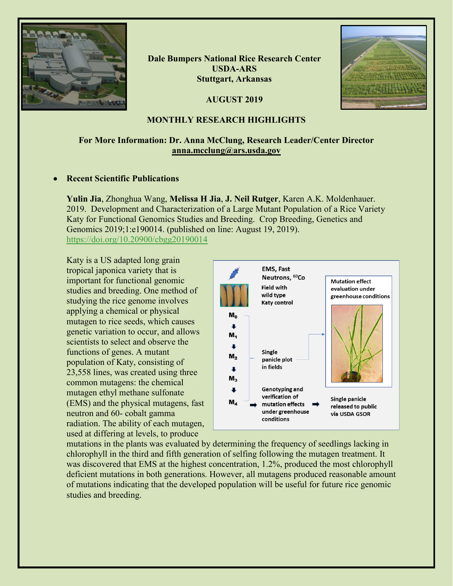

**Dale Bumpers National Rice Research Center USDA-ARS Stuttgart, Arkansas**

**AUGUST 2019**



## **MONTHLY RESEARCH HIGHLIGHTS**

# **For More Information: Dr. Anna McClung, Research Leader/Center Director [anna.mcclung@ars.usda.gov](mailto:anna.mcclung@ars.usda.gov)**

## • **Recent Scientific Publications**

**Yulin Jia**, Zhonghua Wang, **Melissa H Jia**, **J. Neil Rutger**, Karen A.K. Moldenhauer. 2019. Development and Characterization of a Large Mutant Population of a Rice Variety Katy for Functional Genomics Studies and Breeding. Crop Breeding, Genetics and Genomics 2019;1:e190014. (published on line: August 19, 2019). <https://doi.org/10.20900/cbgg20190014>

Katy is a US adapted long grain tropical japonica variety that is important for functional genomic studies and breeding. One method of studying the rice genome involves applying a chemical or physical mutagen to rice seeds, which causes genetic variation to occur, and allows scientists to select and observe the functions of genes. A mutant population of Katy, consisting of 23,558 lines, was created using three common mutagens: the chemical mutagen ethyl methane sulfonate (EMS) and the physical mutagens, fast neutron and 60- cobalt gamma radiation. The ability of each mutagen, used at differing at levels, to produce



mutations in the plants was evaluated by determining the frequency of seedlings lacking in chlorophyll in the third and fifth generation of selfing following the mutagen treatment. It was discovered that EMS at the highest concentration, 1.2%, produced the most chlorophyll deficient mutations in both generations. However, all mutagens produced reasonable amount of mutations indicating that the developed population will be useful for future rice genomic studies and breeding.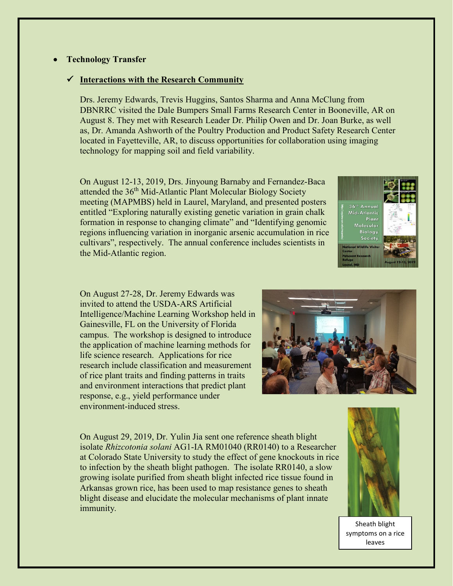## • **Technology Transfer**

#### **Interactions with the Research Community**

Drs. Jeremy Edwards, Trevis Huggins, Santos Sharma and Anna McClung from DBNRRC visited the Dale Bumpers Small Farms Research Center in Booneville, AR on August 8. They met with Research Leader Dr. Philip Owen and Dr. Joan Burke, as well as, Dr. Amanda Ashworth of the Poultry Production and Product Safety Research Center located in Fayetteville, AR, to discuss opportunities for collaboration using imaging technology for mapping soil and field variability.

On August 12-13, 2019, Drs. Jinyoung Barnaby and Fernandez-Baca attended the 36<sup>th</sup> Mid-Atlantic Plant Molecular Biology Society meeting (MAPMBS) held in Laurel, Maryland, and presented posters entitled "Exploring naturally existing genetic variation in grain chalk formation in response to changing climate" and "Identifying genomic regions influencing variation in inorganic arsenic accumulation in rice cultivars", respectively. The annual conference includes scientists in the Mid-Atlantic region.



On August 27-28, Dr. Jeremy Edwards was invited to attend the USDA-ARS Artificial Intelligence/Machine Learning Workshop held in Gainesville, FL on the University of Florida campus. The workshop is designed to introduce the application of machine learning methods for life science research. Applications for rice research include classification and measurement of rice plant traits and finding patterns in traits and environment interactions that predict plant response, e.g., yield performance under environment-induced stress.



On August 29, 2019, Dr. Yulin Jia sent one reference sheath blight isolate *Rhizcotonia solani* AG1-IA RM01040 (RR0140) to a Researcher at Colorado State University to study the effect of gene knockouts in rice to infection by the sheath blight pathogen. The isolate RR0140, a slow growing isolate purified from sheath blight infected rice tissue found in Arkansas grown rice, has been used to map resistance genes to sheath blight disease and elucidate the molecular mechanisms of plant innate immunity.



Sheath blight symptoms on a rice leaves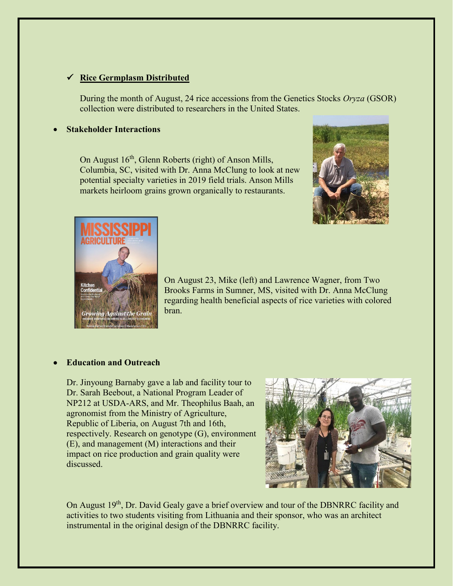## **Rice Germplasm Distributed**

During the month of August, 24 rice accessions from the Genetics Stocks *Oryza* (GSOR) collection were distributed to researchers in the United States.

### • **Stakeholder Interactions**

On August 16<sup>th</sup>, Glenn Roberts (right) of Anson Mills, Columbia, SC, visited with Dr. Anna McClung to look at new potential specialty varieties in 2019 field trials. Anson Mills markets heirloom grains grown organically to restaurants.





On August 23, Mike (left) and Lawrence Wagner, from Two Brooks Farms in Sumner, MS, visited with Dr. Anna McClung regarding health beneficial aspects of rice varieties with colored bran.

## • **Education and Outreach**

Dr. Jinyoung Barnaby gave a lab and facility tour to Dr. Sarah Beebout, a National Program Leader of NP212 at USDA-ARS, and Mr. Theophilus Baah, an agronomist from the Ministry of Agriculture, Republic of Liberia, on August 7th and 16th, respectively. Research on genotype (G), environment (E), and management (M) interactions and their impact on rice production and grain quality were discussed.



On August 19<sup>th</sup>, Dr. David Gealy gave a brief overview and tour of the DBNRRC facility and activities to two students visiting from Lithuania and their sponsor, who was an architect instrumental in the original design of the DBNRRC facility.